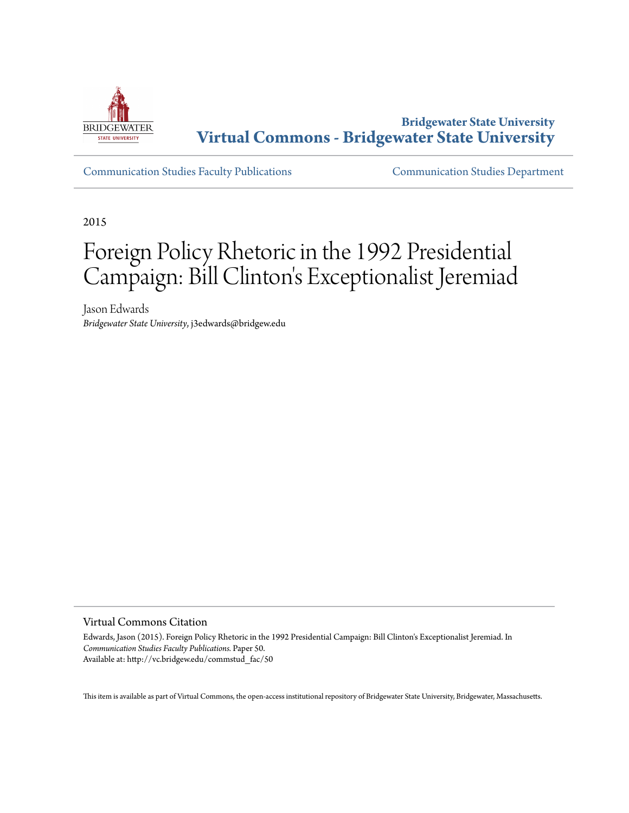

**Bridgewater State University [Virtual Commons - Bridgewater State University](http://vc.bridgew.edu)**

[Communication Studies Faculty Publications](http://vc.bridgew.edu/commstud_fac) [Communication Studies Department](http://vc.bridgew.edu/commstud)

2015

# Foreign Policy Rhetoric in the 1992 Presidential Campaign: Bill Clinton 's Exceptionalist Jeremiad

Jason Edwards *Bridgewater State University*, j3edwards@bridgew.edu

Virtual Commons Citation

Edwards, Jason (2015). Foreign Policy Rhetoric in the 1992 Presidential Campaign: Bill Clinton's Exceptionalist Jeremiad. In *Communication Studies Faculty Publications.* Paper 50. Available at: http://vc.bridgew.edu/commstud\_fac/50

This item is available as part of Virtual Commons, the open-access institutional repository of Bridgewater State University, Bridgewater, Massachusetts.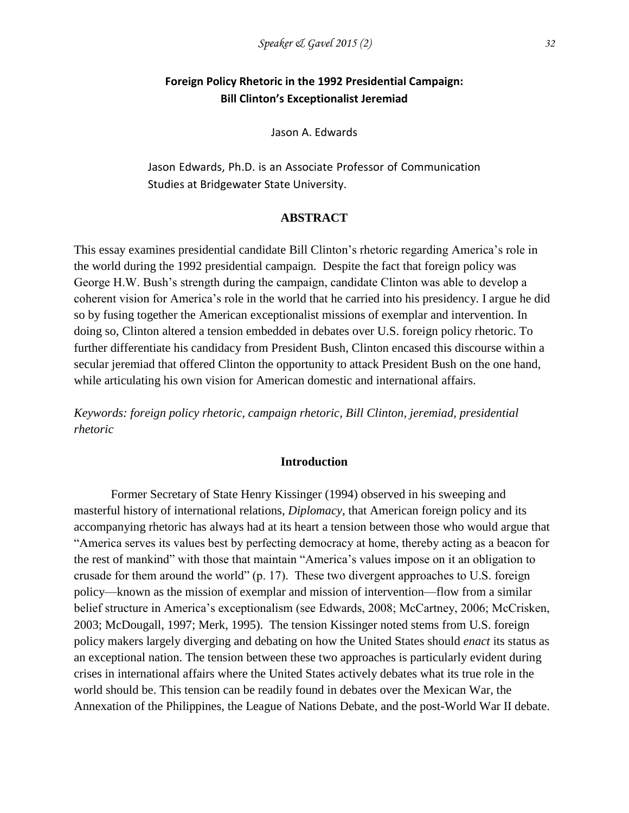# **Foreign Policy Rhetoric in the 1992 Presidential Campaign: Bill Clinton's Exceptionalist Jeremiad**

Jason A. Edwards

Jason Edwards, Ph.D. is an Associate Professor of Communication Studies at Bridgewater State University.

### **ABSTRACT**

This essay examines presidential candidate Bill Clinton's rhetoric regarding America's role in the world during the 1992 presidential campaign. Despite the fact that foreign policy was George H.W. Bush's strength during the campaign, candidate Clinton was able to develop a coherent vision for America's role in the world that he carried into his presidency. I argue he did so by fusing together the American exceptionalist missions of exemplar and intervention. In doing so, Clinton altered a tension embedded in debates over U.S. foreign policy rhetoric. To further differentiate his candidacy from President Bush, Clinton encased this discourse within a secular jeremiad that offered Clinton the opportunity to attack President Bush on the one hand, while articulating his own vision for American domestic and international affairs.

*Keywords: foreign policy rhetoric, campaign rhetoric, Bill Clinton, jeremiad, presidential rhetoric*

#### **Introduction**

Former Secretary of State Henry Kissinger (1994) observed in his sweeping and masterful history of international relations, *Diplomacy*, that American foreign policy and its accompanying rhetoric has always had at its heart a tension between those who would argue that "America serves its values best by perfecting democracy at home, thereby acting as a beacon for the rest of mankind" with those that maintain "America's values impose on it an obligation to crusade for them around the world" (p. 17). These two divergent approaches to U.S. foreign policy—known as the mission of exemplar and mission of intervention—flow from a similar belief structure in America's exceptionalism (see Edwards, 2008; McCartney, 2006; McCrisken, 2003; McDougall, 1997; Merk, 1995). The tension Kissinger noted stems from U.S. foreign policy makers largely diverging and debating on how the United States should *enact* its status as an exceptional nation. The tension between these two approaches is particularly evident during crises in international affairs where the United States actively debates what its true role in the world should be. This tension can be readily found in debates over the Mexican War, the Annexation of the Philippines, the League of Nations Debate, and the post-World War II debate.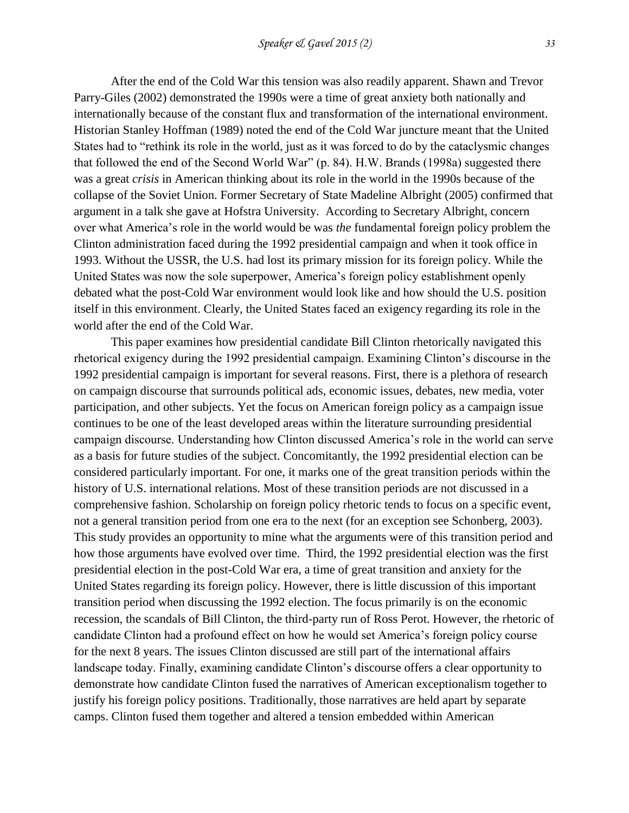After the end of the Cold War this tension was also readily apparent. Shawn and Trevor Parry-Giles (2002) demonstrated the 1990s were a time of great anxiety both nationally and internationally because of the constant flux and transformation of the international environment. Historian Stanley Hoffman (1989) noted the end of the Cold War juncture meant that the United States had to "rethink its role in the world, just as it was forced to do by the cataclysmic changes that followed the end of the Second World War" (p. 84). H.W. Brands (1998a) suggested there was a great *crisis* in American thinking about its role in the world in the 1990s because of the collapse of the Soviet Union. Former Secretary of State Madeline Albright (2005) confirmed that argument in a talk she gave at Hofstra University. According to Secretary Albright, concern over what America's role in the world would be was *the* fundamental foreign policy problem the Clinton administration faced during the 1992 presidential campaign and when it took office in 1993. Without the USSR, the U.S. had lost its primary mission for its foreign policy. While the United States was now the sole superpower, America's foreign policy establishment openly debated what the post-Cold War environment would look like and how should the U.S. position itself in this environment. Clearly, the United States faced an exigency regarding its role in the world after the end of the Cold War.

This paper examines how presidential candidate Bill Clinton rhetorically navigated this rhetorical exigency during the 1992 presidential campaign. Examining Clinton's discourse in the 1992 presidential campaign is important for several reasons. First, there is a plethora of research on campaign discourse that surrounds political ads, economic issues, debates, new media, voter participation, and other subjects. Yet the focus on American foreign policy as a campaign issue continues to be one of the least developed areas within the literature surrounding presidential campaign discourse. Understanding how Clinton discussed America's role in the world can serve as a basis for future studies of the subject. Concomitantly, the 1992 presidential election can be considered particularly important. For one, it marks one of the great transition periods within the history of U.S. international relations. Most of these transition periods are not discussed in a comprehensive fashion. Scholarship on foreign policy rhetoric tends to focus on a specific event, not a general transition period from one era to the next (for an exception see Schonberg, 2003). This study provides an opportunity to mine what the arguments were of this transition period and how those arguments have evolved over time. Third, the 1992 presidential election was the first presidential election in the post-Cold War era, a time of great transition and anxiety for the United States regarding its foreign policy. However, there is little discussion of this important transition period when discussing the 1992 election. The focus primarily is on the economic recession, the scandals of Bill Clinton, the third-party run of Ross Perot. However, the rhetoric of candidate Clinton had a profound effect on how he would set America's foreign policy course for the next 8 years. The issues Clinton discussed are still part of the international affairs landscape today. Finally, examining candidate Clinton's discourse offers a clear opportunity to demonstrate how candidate Clinton fused the narratives of American exceptionalism together to justify his foreign policy positions. Traditionally, those narratives are held apart by separate camps. Clinton fused them together and altered a tension embedded within American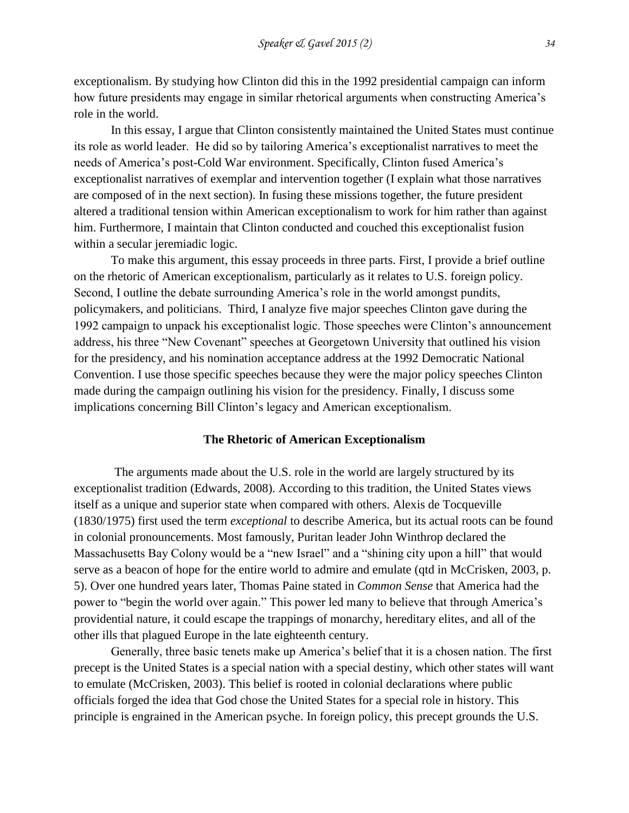exceptionalism. By studying how Clinton did this in the 1992 presidential campaign can inform how future presidents may engage in similar rhetorical arguments when constructing America's role in the world.

In this essay, I argue that Clinton consistently maintained the United States must continue its role as world leader. He did so by tailoring America's exceptionalist narratives to meet the needs of America's post-Cold War environment. Specifically, Clinton fused America's exceptionalist narratives of exemplar and intervention together (I explain what those narratives are composed of in the next section). In fusing these missions together, the future president altered a traditional tension within American exceptionalism to work for him rather than against him. Furthermore, I maintain that Clinton conducted and couched this exceptionalist fusion within a secular jeremiadic logic.

To make this argument, this essay proceeds in three parts. First, I provide a brief outline on the rhetoric of American exceptionalism, particularly as it relates to U.S. foreign policy. Second, I outline the debate surrounding America's role in the world amongst pundits, policymakers, and politicians. Third, I analyze five major speeches Clinton gave during the 1992 campaign to unpack his exceptionalist logic. Those speeches were Clinton's announcement address, his three "New Covenant" speeches at Georgetown University that outlined his vision for the presidency, and his nomination acceptance address at the 1992 Democratic National Convention. I use those specific speeches because they were the major policy speeches Clinton made during the campaign outlining his vision for the presidency. Finally, I discuss some implications concerning Bill Clinton's legacy and American exceptionalism.

## **The Rhetoric of American Exceptionalism**

The arguments made about the U.S. role in the world are largely structured by its exceptionalist tradition (Edwards, 2008). According to this tradition, the United States views itself as a unique and superior state when compared with others. Alexis de Tocqueville (1830/1975) first used the term *exceptional* to describe America, but its actual roots can be found in colonial pronouncements. Most famously, Puritan leader John Winthrop declared the Massachusetts Bay Colony would be a "new Israel" and a "shining city upon a hill" that would serve as a beacon of hope for the entire world to admire and emulate (qtd in McCrisken, 2003, p. 5). Over one hundred years later, Thomas Paine stated in *Common Sense* that America had the power to "begin the world over again." This power led many to believe that through America's providential nature, it could escape the trappings of monarchy, hereditary elites, and all of the other ills that plagued Europe in the late eighteenth century.

Generally, three basic tenets make up America's belief that it is a chosen nation. The first precept is the United States is a special nation with a special destiny, which other states will want to emulate (McCrisken, 2003). This belief is rooted in colonial declarations where public officials forged the idea that God chose the United States for a special role in history. This principle is engrained in the American psyche. In foreign policy, this precept grounds the U.S.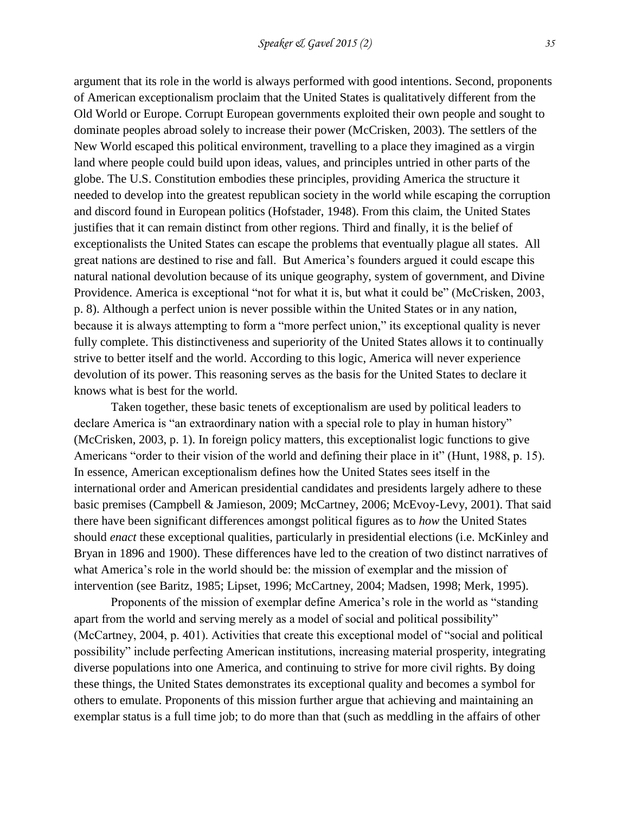argument that its role in the world is always performed with good intentions. Second, proponents of American exceptionalism proclaim that the United States is qualitatively different from the Old World or Europe. Corrupt European governments exploited their own people and sought to dominate peoples abroad solely to increase their power (McCrisken, 2003). The settlers of the New World escaped this political environment, travelling to a place they imagined as a virgin land where people could build upon ideas, values, and principles untried in other parts of the globe. The U.S. Constitution embodies these principles, providing America the structure it needed to develop into the greatest republican society in the world while escaping the corruption and discord found in European politics (Hofstader, 1948). From this claim, the United States justifies that it can remain distinct from other regions. Third and finally, it is the belief of exceptionalists the United States can escape the problems that eventually plague all states. All great nations are destined to rise and fall. But America's founders argued it could escape this natural national devolution because of its unique geography, system of government, and Divine Providence. America is exceptional "not for what it is, but what it could be" (McCrisken, 2003, p. 8). Although a perfect union is never possible within the United States or in any nation, because it is always attempting to form a "more perfect union," its exceptional quality is never fully complete. This distinctiveness and superiority of the United States allows it to continually strive to better itself and the world. According to this logic, America will never experience devolution of its power. This reasoning serves as the basis for the United States to declare it knows what is best for the world.

Taken together, these basic tenets of exceptionalism are used by political leaders to declare America is "an extraordinary nation with a special role to play in human history" (McCrisken, 2003, p. 1). In foreign policy matters, this exceptionalist logic functions to give Americans "order to their vision of the world and defining their place in it" (Hunt, 1988, p. 15). In essence, American exceptionalism defines how the United States sees itself in the international order and American presidential candidates and presidents largely adhere to these basic premises (Campbell & Jamieson, 2009; McCartney, 2006; McEvoy-Levy, 2001). That said there have been significant differences amongst political figures as to *how* the United States should *enact* these exceptional qualities, particularly in presidential elections (i.e. McKinley and Bryan in 1896 and 1900). These differences have led to the creation of two distinct narratives of what America's role in the world should be: the mission of exemplar and the mission of intervention (see Baritz, 1985; Lipset, 1996; McCartney, 2004; Madsen, 1998; Merk, 1995).

Proponents of the mission of exemplar define America's role in the world as "standing apart from the world and serving merely as a model of social and political possibility" (McCartney, 2004, p. 401). Activities that create this exceptional model of "social and political possibility" include perfecting American institutions, increasing material prosperity, integrating diverse populations into one America, and continuing to strive for more civil rights. By doing these things, the United States demonstrates its exceptional quality and becomes a symbol for others to emulate. Proponents of this mission further argue that achieving and maintaining an exemplar status is a full time job; to do more than that (such as meddling in the affairs of other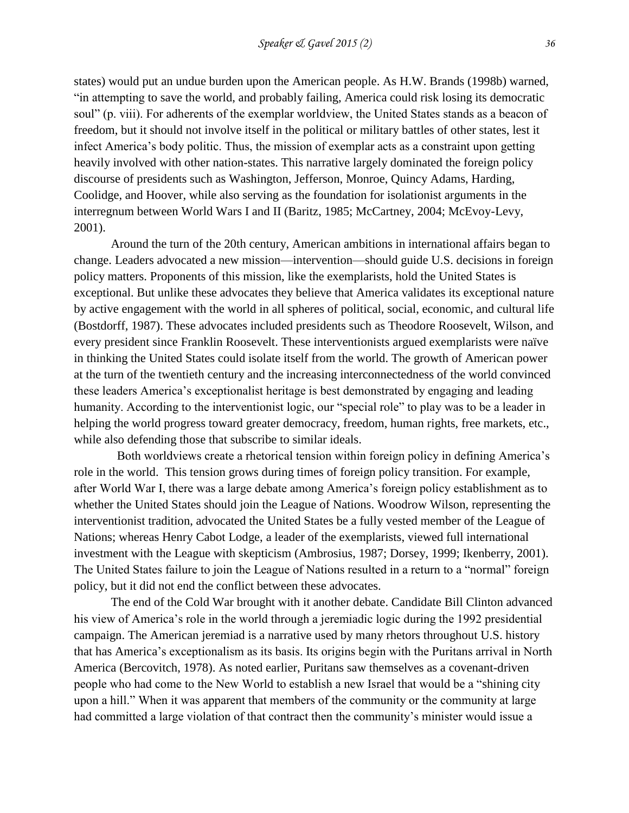states) would put an undue burden upon the American people. As H.W. Brands (1998b) warned, "in attempting to save the world, and probably failing, America could risk losing its democratic soul" (p. viii). For adherents of the exemplar worldview, the United States stands as a beacon of freedom, but it should not involve itself in the political or military battles of other states, lest it infect America's body politic. Thus, the mission of exemplar acts as a constraint upon getting heavily involved with other nation-states. This narrative largely dominated the foreign policy discourse of presidents such as Washington, Jefferson, Monroe, Quincy Adams, Harding, Coolidge, and Hoover, while also serving as the foundation for isolationist arguments in the interregnum between World Wars I and II (Baritz, 1985; McCartney, 2004; McEvoy-Levy, 2001).

Around the turn of the 20th century, American ambitions in international affairs began to change. Leaders advocated a new mission—intervention—should guide U.S. decisions in foreign policy matters. Proponents of this mission, like the exemplarists, hold the United States is exceptional. But unlike these advocates they believe that America validates its exceptional nature by active engagement with the world in all spheres of political, social, economic, and cultural life (Bostdorff, 1987). These advocates included presidents such as Theodore Roosevelt, Wilson, and every president since Franklin Roosevelt. These interventionists argued exemplarists were naïve in thinking the United States could isolate itself from the world. The growth of American power at the turn of the twentieth century and the increasing interconnectedness of the world convinced these leaders America's exceptionalist heritage is best demonstrated by engaging and leading humanity. According to the interventionist logic, our "special role" to play was to be a leader in helping the world progress toward greater democracy, freedom, human rights, free markets, etc., while also defending those that subscribe to similar ideals.

 Both worldviews create a rhetorical tension within foreign policy in defining America's role in the world. This tension grows during times of foreign policy transition. For example, after World War I, there was a large debate among America's foreign policy establishment as to whether the United States should join the League of Nations. Woodrow Wilson, representing the interventionist tradition, advocated the United States be a fully vested member of the League of Nations; whereas Henry Cabot Lodge, a leader of the exemplarists, viewed full international investment with the League with skepticism (Ambrosius, 1987; Dorsey, 1999; Ikenberry, 2001). The United States failure to join the League of Nations resulted in a return to a "normal" foreign policy, but it did not end the conflict between these advocates.

The end of the Cold War brought with it another debate. Candidate Bill Clinton advanced his view of America's role in the world through a jeremiadic logic during the 1992 presidential campaign. The American jeremiad is a narrative used by many rhetors throughout U.S. history that has America's exceptionalism as its basis. Its origins begin with the Puritans arrival in North America (Bercovitch, 1978). As noted earlier, Puritans saw themselves as a covenant-driven people who had come to the New World to establish a new Israel that would be a "shining city upon a hill." When it was apparent that members of the community or the community at large had committed a large violation of that contract then the community's minister would issue a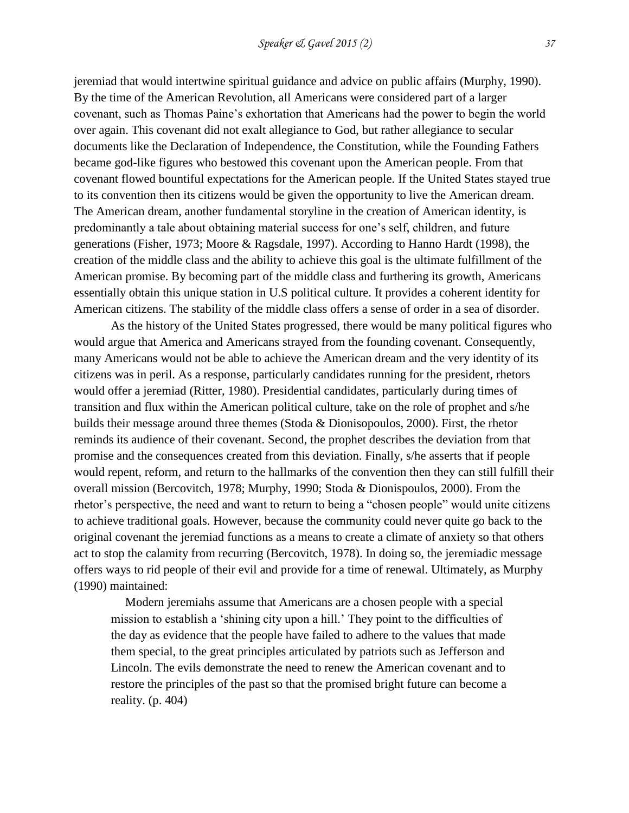jeremiad that would intertwine spiritual guidance and advice on public affairs (Murphy, 1990). By the time of the American Revolution, all Americans were considered part of a larger covenant, such as Thomas Paine's exhortation that Americans had the power to begin the world over again. This covenant did not exalt allegiance to God, but rather allegiance to secular documents like the Declaration of Independence, the Constitution, while the Founding Fathers became god-like figures who bestowed this covenant upon the American people. From that covenant flowed bountiful expectations for the American people. If the United States stayed true to its convention then its citizens would be given the opportunity to live the American dream. The American dream, another fundamental storyline in the creation of American identity, is predominantly a tale about obtaining material success for one's self, children, and future generations (Fisher, 1973; Moore & Ragsdale, 1997). According to Hanno Hardt (1998), the creation of the middle class and the ability to achieve this goal is the ultimate fulfillment of the American promise. By becoming part of the middle class and furthering its growth, Americans essentially obtain this unique station in U.S political culture. It provides a coherent identity for American citizens. The stability of the middle class offers a sense of order in a sea of disorder.

As the history of the United States progressed, there would be many political figures who would argue that America and Americans strayed from the founding covenant. Consequently, many Americans would not be able to achieve the American dream and the very identity of its citizens was in peril. As a response, particularly candidates running for the president, rhetors would offer a jeremiad (Ritter, 1980). Presidential candidates, particularly during times of transition and flux within the American political culture, take on the role of prophet and s/he builds their message around three themes (Stoda & Dionisopoulos, 2000). First, the rhetor reminds its audience of their covenant. Second, the prophet describes the deviation from that promise and the consequences created from this deviation. Finally, s/he asserts that if people would repent, reform, and return to the hallmarks of the convention then they can still fulfill their overall mission (Bercovitch, 1978; Murphy, 1990; Stoda & Dionispoulos, 2000). From the rhetor's perspective, the need and want to return to being a "chosen people" would unite citizens to achieve traditional goals. However, because the community could never quite go back to the original covenant the jeremiad functions as a means to create a climate of anxiety so that others act to stop the calamity from recurring (Bercovitch, 1978). In doing so, the jeremiadic message offers ways to rid people of their evil and provide for a time of renewal. Ultimately, as Murphy (1990) maintained:

Modern jeremiahs assume that Americans are a chosen people with a special mission to establish a 'shining city upon a hill.' They point to the difficulties of the day as evidence that the people have failed to adhere to the values that made them special, to the great principles articulated by patriots such as Jefferson and Lincoln. The evils demonstrate the need to renew the American covenant and to restore the principles of the past so that the promised bright future can become a reality. (p. 404)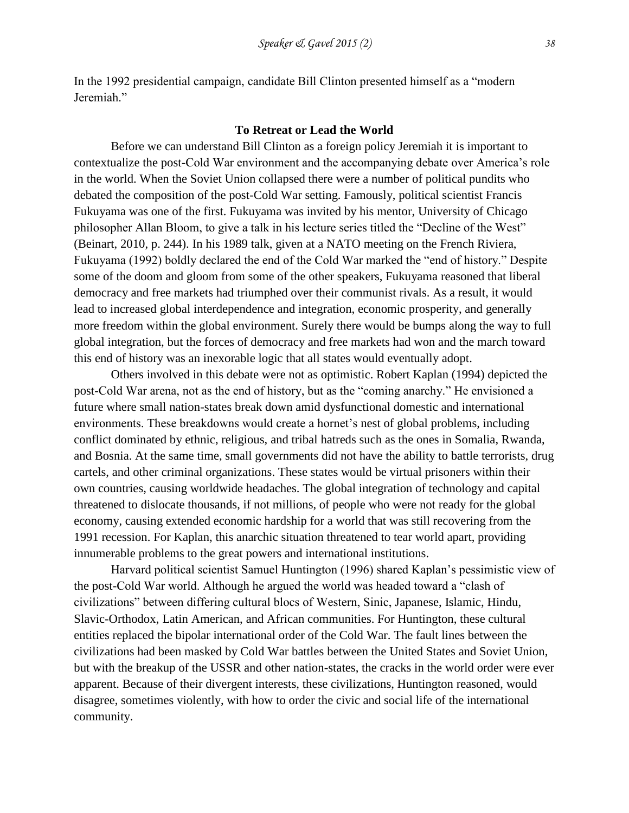In the 1992 presidential campaign, candidate Bill Clinton presented himself as a "modern Jeremiah."

### **To Retreat or Lead the World**

Before we can understand Bill Clinton as a foreign policy Jeremiah it is important to contextualize the post-Cold War environment and the accompanying debate over America's role in the world. When the Soviet Union collapsed there were a number of political pundits who debated the composition of the post-Cold War setting. Famously, political scientist Francis Fukuyama was one of the first. Fukuyama was invited by his mentor, University of Chicago philosopher Allan Bloom, to give a talk in his lecture series titled the "Decline of the West" (Beinart, 2010, p. 244). In his 1989 talk, given at a NATO meeting on the French Riviera, Fukuyama (1992) boldly declared the end of the Cold War marked the "end of history." Despite some of the doom and gloom from some of the other speakers, Fukuyama reasoned that liberal democracy and free markets had triumphed over their communist rivals. As a result, it would lead to increased global interdependence and integration, economic prosperity, and generally more freedom within the global environment. Surely there would be bumps along the way to full global integration, but the forces of democracy and free markets had won and the march toward this end of history was an inexorable logic that all states would eventually adopt.

Others involved in this debate were not as optimistic. Robert Kaplan (1994) depicted the post-Cold War arena, not as the end of history, but as the "coming anarchy." He envisioned a future where small nation-states break down amid dysfunctional domestic and international environments. These breakdowns would create a hornet's nest of global problems, including conflict dominated by ethnic, religious, and tribal hatreds such as the ones in Somalia, Rwanda, and Bosnia. At the same time, small governments did not have the ability to battle terrorists, drug cartels, and other criminal organizations. These states would be virtual prisoners within their own countries, causing worldwide headaches. The global integration of technology and capital threatened to dislocate thousands, if not millions, of people who were not ready for the global economy, causing extended economic hardship for a world that was still recovering from the 1991 recession. For Kaplan, this anarchic situation threatened to tear world apart, providing innumerable problems to the great powers and international institutions.

Harvard political scientist Samuel Huntington (1996) shared Kaplan's pessimistic view of the post-Cold War world. Although he argued the world was headed toward a "clash of civilizations" between differing cultural blocs of Western, Sinic, Japanese, Islamic, Hindu, Slavic-Orthodox, Latin American, and African communities. For Huntington, these cultural entities replaced the bipolar international order of the Cold War. The fault lines between the civilizations had been masked by Cold War battles between the United States and Soviet Union, but with the breakup of the USSR and other nation-states, the cracks in the world order were ever apparent. Because of their divergent interests, these civilizations, Huntington reasoned, would disagree, sometimes violently, with how to order the civic and social life of the international community.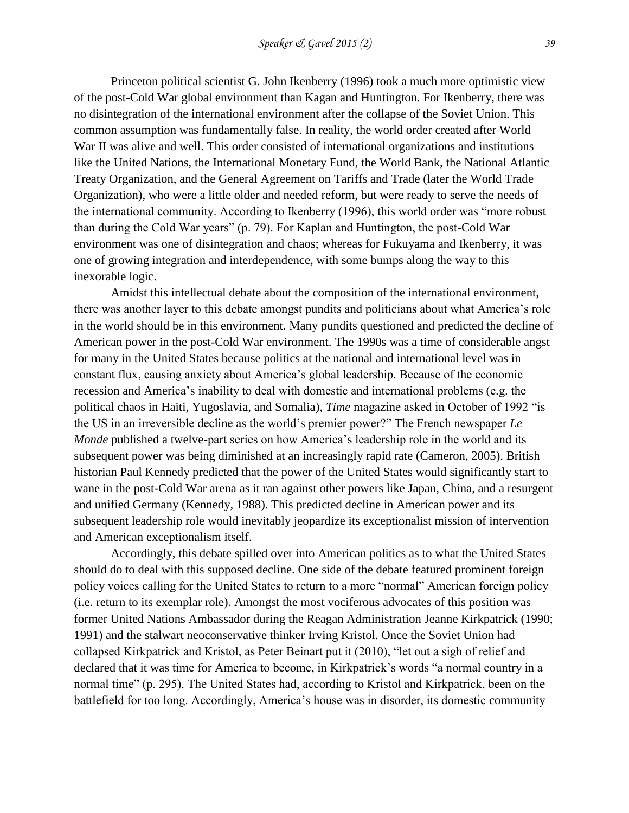Princeton political scientist G. John Ikenberry (1996) took a much more optimistic view of the post-Cold War global environment than Kagan and Huntington. For Ikenberry, there was no disintegration of the international environment after the collapse of the Soviet Union. This common assumption was fundamentally false. In reality, the world order created after World War II was alive and well. This order consisted of international organizations and institutions like the United Nations, the International Monetary Fund, the World Bank, the National Atlantic Treaty Organization, and the General Agreement on Tariffs and Trade (later the World Trade Organization), who were a little older and needed reform, but were ready to serve the needs of the international community. According to Ikenberry (1996), this world order was "more robust than during the Cold War years" (p. 79). For Kaplan and Huntington, the post-Cold War environment was one of disintegration and chaos; whereas for Fukuyama and Ikenberry, it was one of growing integration and interdependence, with some bumps along the way to this inexorable logic.

Amidst this intellectual debate about the composition of the international environment, there was another layer to this debate amongst pundits and politicians about what America's role in the world should be in this environment. Many pundits questioned and predicted the decline of American power in the post-Cold War environment. The 1990s was a time of considerable angst for many in the United States because politics at the national and international level was in constant flux, causing anxiety about America's global leadership. Because of the economic recession and America's inability to deal with domestic and international problems (e.g. the political chaos in Haiti, Yugoslavia, and Somalia), *Time* magazine asked in October of 1992 "is the US in an irreversible decline as the world's premier power?" The French newspaper *Le Monde* published a twelve-part series on how America's leadership role in the world and its subsequent power was being diminished at an increasingly rapid rate (Cameron, 2005). British historian Paul Kennedy predicted that the power of the United States would significantly start to wane in the post-Cold War arena as it ran against other powers like Japan, China, and a resurgent and unified Germany (Kennedy, 1988). This predicted decline in American power and its subsequent leadership role would inevitably jeopardize its exceptionalist mission of intervention and American exceptionalism itself.

Accordingly, this debate spilled over into American politics as to what the United States should do to deal with this supposed decline. One side of the debate featured prominent foreign policy voices calling for the United States to return to a more "normal" American foreign policy (i.e. return to its exemplar role). Amongst the most vociferous advocates of this position was former United Nations Ambassador during the Reagan Administration Jeanne Kirkpatrick (1990; 1991) and the stalwart neoconservative thinker Irving Kristol. Once the Soviet Union had collapsed Kirkpatrick and Kristol, as Peter Beinart put it (2010), "let out a sigh of relief and declared that it was time for America to become, in Kirkpatrick's words "a normal country in a normal time" (p. 295). The United States had, according to Kristol and Kirkpatrick, been on the battlefield for too long. Accordingly, America's house was in disorder, its domestic community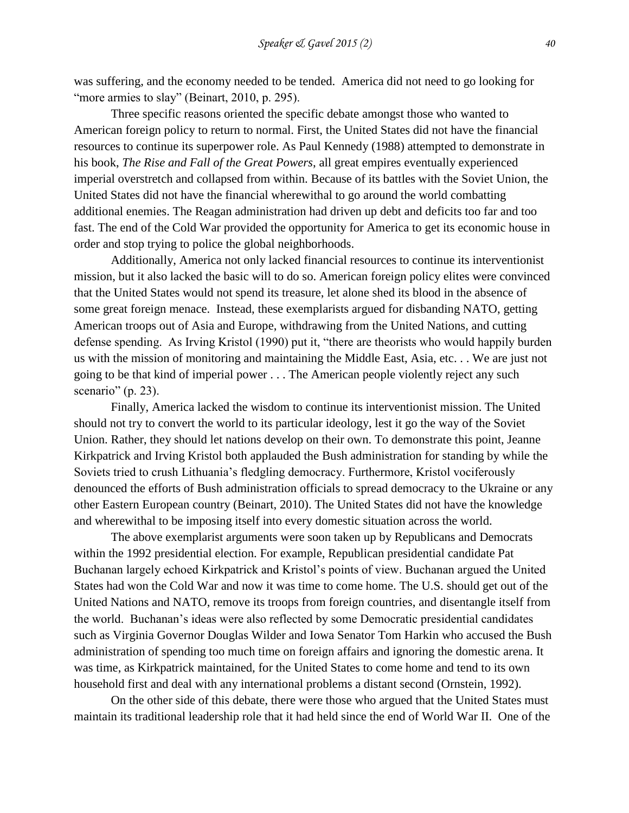was suffering, and the economy needed to be tended. America did not need to go looking for "more armies to slay" (Beinart, 2010, p. 295).

Three specific reasons oriented the specific debate amongst those who wanted to American foreign policy to return to normal. First, the United States did not have the financial resources to continue its superpower role. As Paul Kennedy (1988) attempted to demonstrate in his book, *The Rise and Fall of the Great Powers*, all great empires eventually experienced imperial overstretch and collapsed from within. Because of its battles with the Soviet Union, the United States did not have the financial wherewithal to go around the world combatting additional enemies. The Reagan administration had driven up debt and deficits too far and too fast. The end of the Cold War provided the opportunity for America to get its economic house in order and stop trying to police the global neighborhoods.

Additionally, America not only lacked financial resources to continue its interventionist mission, but it also lacked the basic will to do so. American foreign policy elites were convinced that the United States would not spend its treasure, let alone shed its blood in the absence of some great foreign menace. Instead, these exemplarists argued for disbanding NATO, getting American troops out of Asia and Europe, withdrawing from the United Nations, and cutting defense spending. As Irving Kristol (1990) put it, "there are theorists who would happily burden us with the mission of monitoring and maintaining the Middle East, Asia, etc. . . We are just not going to be that kind of imperial power . . . The American people violently reject any such scenario" (p. 23).

Finally, America lacked the wisdom to continue its interventionist mission. The United should not try to convert the world to its particular ideology, lest it go the way of the Soviet Union. Rather, they should let nations develop on their own. To demonstrate this point, Jeanne Kirkpatrick and Irving Kristol both applauded the Bush administration for standing by while the Soviets tried to crush Lithuania's fledgling democracy. Furthermore, Kristol vociferously denounced the efforts of Bush administration officials to spread democracy to the Ukraine or any other Eastern European country (Beinart, 2010). The United States did not have the knowledge and wherewithal to be imposing itself into every domestic situation across the world.

The above exemplarist arguments were soon taken up by Republicans and Democrats within the 1992 presidential election. For example, Republican presidential candidate Pat Buchanan largely echoed Kirkpatrick and Kristol's points of view. Buchanan argued the United States had won the Cold War and now it was time to come home. The U.S. should get out of the United Nations and NATO, remove its troops from foreign countries, and disentangle itself from the world. Buchanan's ideas were also reflected by some Democratic presidential candidates such as Virginia Governor Douglas Wilder and Iowa Senator Tom Harkin who accused the Bush administration of spending too much time on foreign affairs and ignoring the domestic arena. It was time, as Kirkpatrick maintained, for the United States to come home and tend to its own household first and deal with any international problems a distant second (Ornstein, 1992).

On the other side of this debate, there were those who argued that the United States must maintain its traditional leadership role that it had held since the end of World War II. One of the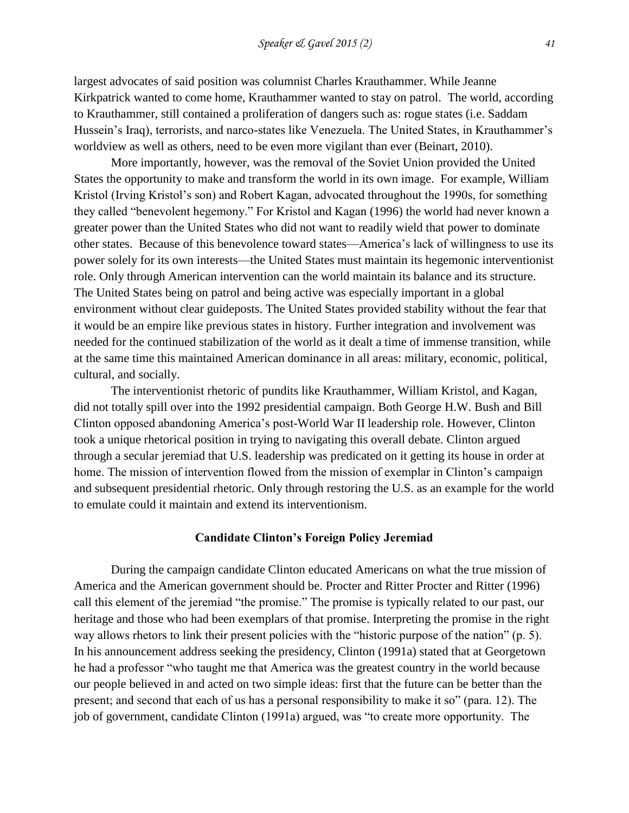largest advocates of said position was columnist Charles Krauthammer. While Jeanne Kirkpatrick wanted to come home, Krauthammer wanted to stay on patrol. The world, according to Krauthammer, still contained a proliferation of dangers such as: rogue states (i.e. Saddam Hussein's Iraq), terrorists, and narco-states like Venezuela. The United States, in Krauthammer's worldview as well as others, need to be even more vigilant than ever (Beinart, 2010).

More importantly, however, was the removal of the Soviet Union provided the United States the opportunity to make and transform the world in its own image. For example, William Kristol (Irving Kristol's son) and Robert Kagan, advocated throughout the 1990s, for something they called "benevolent hegemony." For Kristol and Kagan (1996) the world had never known a greater power than the United States who did not want to readily wield that power to dominate other states. Because of this benevolence toward states—America's lack of willingness to use its power solely for its own interests—the United States must maintain its hegemonic interventionist role. Only through American intervention can the world maintain its balance and its structure. The United States being on patrol and being active was especially important in a global environment without clear guideposts. The United States provided stability without the fear that it would be an empire like previous states in history. Further integration and involvement was needed for the continued stabilization of the world as it dealt a time of immense transition, while at the same time this maintained American dominance in all areas: military, economic, political, cultural, and socially.

The interventionist rhetoric of pundits like Krauthammer, William Kristol, and Kagan, did not totally spill over into the 1992 presidential campaign. Both George H.W. Bush and Bill Clinton opposed abandoning America's post-World War II leadership role. However, Clinton took a unique rhetorical position in trying to navigating this overall debate. Clinton argued through a secular jeremiad that U.S. leadership was predicated on it getting its house in order at home. The mission of intervention flowed from the mission of exemplar in Clinton's campaign and subsequent presidential rhetoric. Only through restoring the U.S. as an example for the world to emulate could it maintain and extend its interventionism.

## **Candidate Clinton's Foreign Policy Jeremiad**

During the campaign candidate Clinton educated Americans on what the true mission of America and the American government should be. Procter and Ritter Procter and Ritter (1996) call this element of the jeremiad "the promise." The promise is typically related to our past, our heritage and those who had been exemplars of that promise. Interpreting the promise in the right way allows rhetors to link their present policies with the "historic purpose of the nation" (p. 5). In his announcement address seeking the presidency, Clinton (1991a) stated that at Georgetown he had a professor "who taught me that America was the greatest country in the world because our people believed in and acted on two simple ideas: first that the future can be better than the present; and second that each of us has a personal responsibility to make it so" (para. 12). The job of government, candidate Clinton (1991a) argued, was "to create more opportunity. The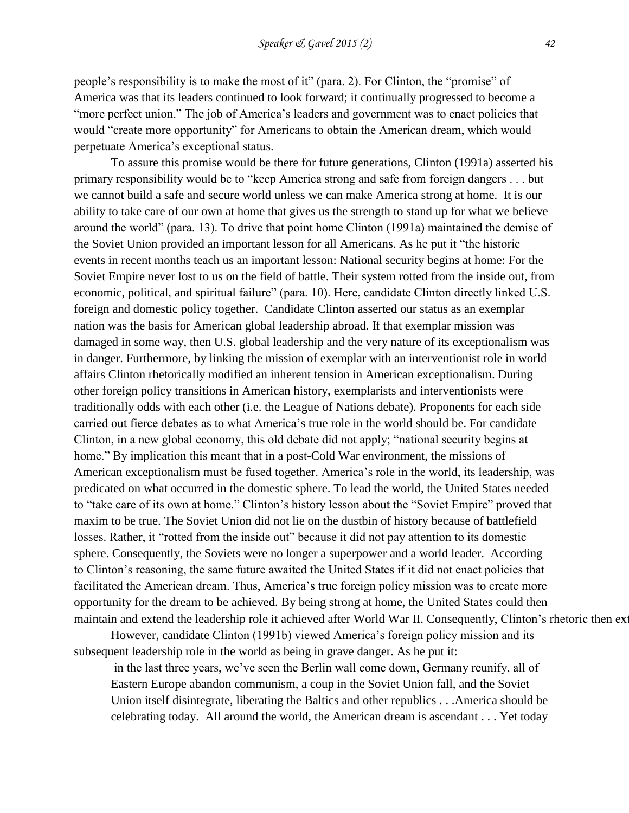people's responsibility is to make the most of it" (para. 2). For Clinton, the "promise" of America was that its leaders continued to look forward; it continually progressed to become a "more perfect union." The job of America's leaders and government was to enact policies that would "create more opportunity" for Americans to obtain the American dream, which would perpetuate America's exceptional status.

To assure this promise would be there for future generations, Clinton (1991a) asserted his primary responsibility would be to "keep America strong and safe from foreign dangers . . . but we cannot build a safe and secure world unless we can make America strong at home. It is our ability to take care of our own at home that gives us the strength to stand up for what we believe around the world" (para. 13). To drive that point home Clinton (1991a) maintained the demise of the Soviet Union provided an important lesson for all Americans. As he put it "the historic events in recent months teach us an important lesson: National security begins at home: For the Soviet Empire never lost to us on the field of battle. Their system rotted from the inside out, from economic, political, and spiritual failure" (para. 10). Here, candidate Clinton directly linked U.S. foreign and domestic policy together. Candidate Clinton asserted our status as an exemplar nation was the basis for American global leadership abroad. If that exemplar mission was damaged in some way, then U.S. global leadership and the very nature of its exceptionalism was in danger. Furthermore, by linking the mission of exemplar with an interventionist role in world affairs Clinton rhetorically modified an inherent tension in American exceptionalism. During other foreign policy transitions in American history, exemplarists and interventionists were traditionally odds with each other (i.e. the League of Nations debate). Proponents for each side carried out fierce debates as to what America's true role in the world should be. For candidate Clinton, in a new global economy, this old debate did not apply; "national security begins at home." By implication this meant that in a post-Cold War environment, the missions of American exceptionalism must be fused together. America's role in the world, its leadership, was predicated on what occurred in the domestic sphere. To lead the world, the United States needed to "take care of its own at home." Clinton's history lesson about the "Soviet Empire" proved that maxim to be true. The Soviet Union did not lie on the dustbin of history because of battlefield losses. Rather, it "rotted from the inside out" because it did not pay attention to its domestic sphere. Consequently, the Soviets were no longer a superpower and a world leader. According to Clinton's reasoning, the same future awaited the United States if it did not enact policies that facilitated the American dream. Thus, America's true foreign policy mission was to create more opportunity for the dream to be achieved. By being strong at home, the United States could then maintain and extend the leadership role it achieved after World War II. Consequently, Clinton's rhetoric then ex

However, candidate Clinton (1991b) viewed America's foreign policy mission and its subsequent leadership role in the world as being in grave danger. As he put it:

in the last three years, we've seen the Berlin wall come down, Germany reunify, all of Eastern Europe abandon communism, a coup in the Soviet Union fall, and the Soviet Union itself disintegrate, liberating the Baltics and other republics . . .America should be celebrating today. All around the world, the American dream is ascendant . . . Yet today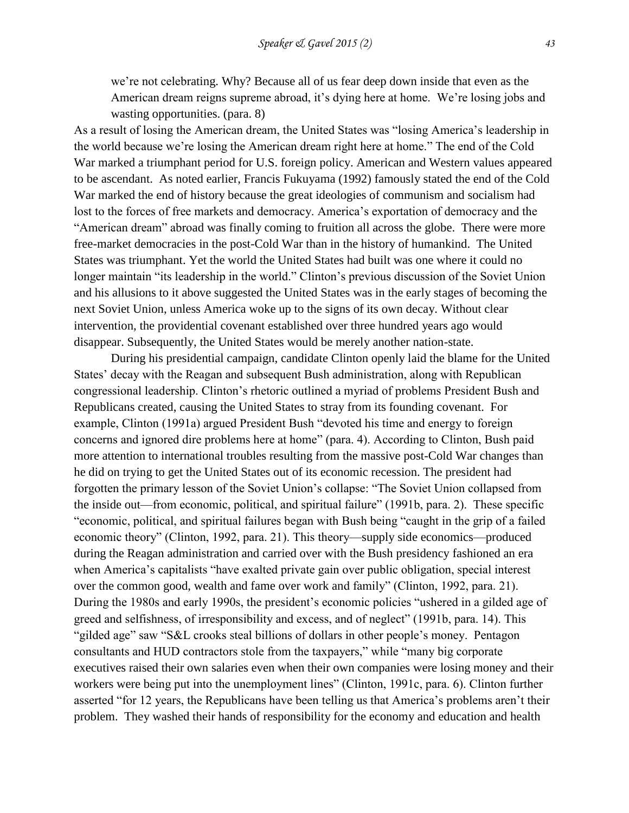we're not celebrating. Why? Because all of us fear deep down inside that even as the American dream reigns supreme abroad, it's dying here at home. We're losing jobs and wasting opportunities. (para. 8)

As a result of losing the American dream, the United States was "losing America's leadership in the world because we're losing the American dream right here at home." The end of the Cold War marked a triumphant period for U.S. foreign policy. American and Western values appeared to be ascendant. As noted earlier, Francis Fukuyama (1992) famously stated the end of the Cold War marked the end of history because the great ideologies of communism and socialism had lost to the forces of free markets and democracy. America's exportation of democracy and the "American dream" abroad was finally coming to fruition all across the globe. There were more free-market democracies in the post-Cold War than in the history of humankind. The United States was triumphant. Yet the world the United States had built was one where it could no longer maintain "its leadership in the world." Clinton's previous discussion of the Soviet Union and his allusions to it above suggested the United States was in the early stages of becoming the next Soviet Union, unless America woke up to the signs of its own decay. Without clear intervention, the providential covenant established over three hundred years ago would disappear. Subsequently, the United States would be merely another nation-state.

During his presidential campaign, candidate Clinton openly laid the blame for the United States' decay with the Reagan and subsequent Bush administration, along with Republican congressional leadership. Clinton's rhetoric outlined a myriad of problems President Bush and Republicans created, causing the United States to stray from its founding covenant. For example, Clinton (1991a) argued President Bush "devoted his time and energy to foreign concerns and ignored dire problems here at home" (para. 4). According to Clinton, Bush paid more attention to international troubles resulting from the massive post-Cold War changes than he did on trying to get the United States out of its economic recession. The president had forgotten the primary lesson of the Soviet Union's collapse: "The Soviet Union collapsed from the inside out—from economic, political, and spiritual failure" (1991b, para. 2). These specific "economic, political, and spiritual failures began with Bush being "caught in the grip of a failed economic theory" (Clinton, 1992, para. 21). This theory—supply side economics—produced during the Reagan administration and carried over with the Bush presidency fashioned an era when America's capitalists "have exalted private gain over public obligation, special interest over the common good, wealth and fame over work and family" (Clinton, 1992, para. 21). During the 1980s and early 1990s, the president's economic policies "ushered in a gilded age of greed and selfishness, of irresponsibility and excess, and of neglect" (1991b, para. 14). This "gilded age" saw "S&L crooks steal billions of dollars in other people's money. Pentagon consultants and HUD contractors stole from the taxpayers," while "many big corporate executives raised their own salaries even when their own companies were losing money and their workers were being put into the unemployment lines" (Clinton, 1991c, para. 6). Clinton further asserted "for 12 years, the Republicans have been telling us that America's problems aren't their problem. They washed their hands of responsibility for the economy and education and health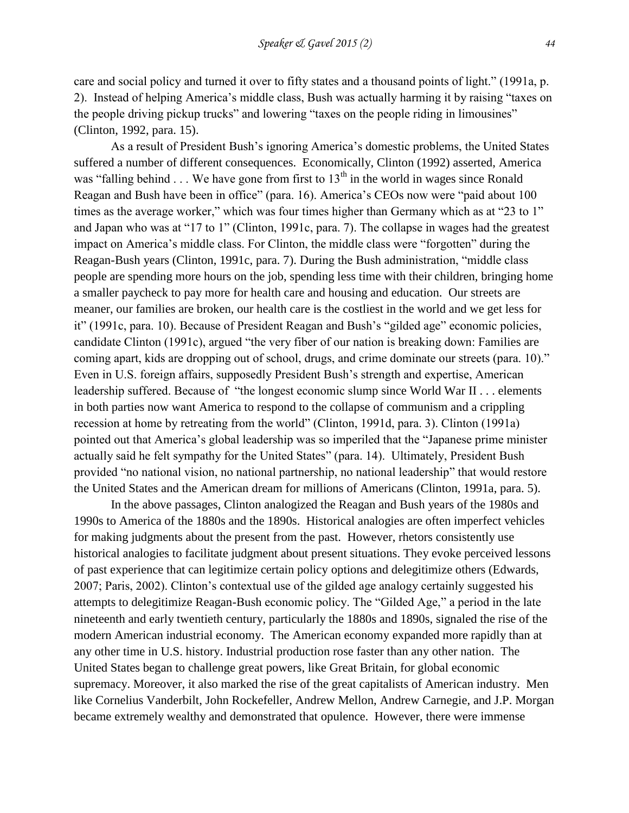care and social policy and turned it over to fifty states and a thousand points of light." (1991a, p. 2). Instead of helping America's middle class, Bush was actually harming it by raising "taxes on the people driving pickup trucks" and lowering "taxes on the people riding in limousines" (Clinton, 1992, para. 15).

As a result of President Bush's ignoring America's domestic problems, the United States suffered a number of different consequences. Economically, Clinton (1992) asserted, America was "falling behind  $\ldots$  We have gone from first to 13<sup>th</sup> in the world in wages since Ronald Reagan and Bush have been in office" (para. 16). America's CEOs now were "paid about 100 times as the average worker," which was four times higher than Germany which as at "23 to 1" and Japan who was at "17 to 1" (Clinton, 1991c, para. 7). The collapse in wages had the greatest impact on America's middle class. For Clinton, the middle class were "forgotten" during the Reagan-Bush years (Clinton, 1991c, para. 7). During the Bush administration, "middle class people are spending more hours on the job, spending less time with their children, bringing home a smaller paycheck to pay more for health care and housing and education. Our streets are meaner, our families are broken, our health care is the costliest in the world and we get less for it" (1991c, para. 10). Because of President Reagan and Bush's "gilded age" economic policies, candidate Clinton (1991c), argued "the very fiber of our nation is breaking down: Families are coming apart, kids are dropping out of school, drugs, and crime dominate our streets (para. 10)." Even in U.S. foreign affairs, supposedly President Bush's strength and expertise, American leadership suffered. Because of "the longest economic slump since World War II . . . elements in both parties now want America to respond to the collapse of communism and a crippling recession at home by retreating from the world" (Clinton, 1991d, para. 3). Clinton (1991a) pointed out that America's global leadership was so imperiled that the "Japanese prime minister actually said he felt sympathy for the United States" (para. 14). Ultimately, President Bush provided "no national vision, no national partnership, no national leadership" that would restore the United States and the American dream for millions of Americans (Clinton, 1991a, para. 5).

In the above passages, Clinton analogized the Reagan and Bush years of the 1980s and 1990s to America of the 1880s and the 1890s. Historical analogies are often imperfect vehicles for making judgments about the present from the past. However, rhetors consistently use historical analogies to facilitate judgment about present situations. They evoke perceived lessons of past experience that can legitimize certain policy options and delegitimize others (Edwards, 2007; Paris, 2002). Clinton's contextual use of the gilded age analogy certainly suggested his attempts to delegitimize Reagan-Bush economic policy. The "Gilded Age," a period in the late nineteenth and early twentieth century, particularly the 1880s and 1890s, signaled the rise of the modern American industrial economy. The American economy expanded more rapidly than at any other time in U.S. history. Industrial production rose faster than any other nation. The United States began to challenge great powers, like Great Britain, for global economic supremacy. Moreover, it also marked the rise of the great capitalists of American industry. Men like Cornelius Vanderbilt, John Rockefeller, Andrew Mellon, Andrew Carnegie, and J.P. Morgan became extremely wealthy and demonstrated that opulence. However, there were immense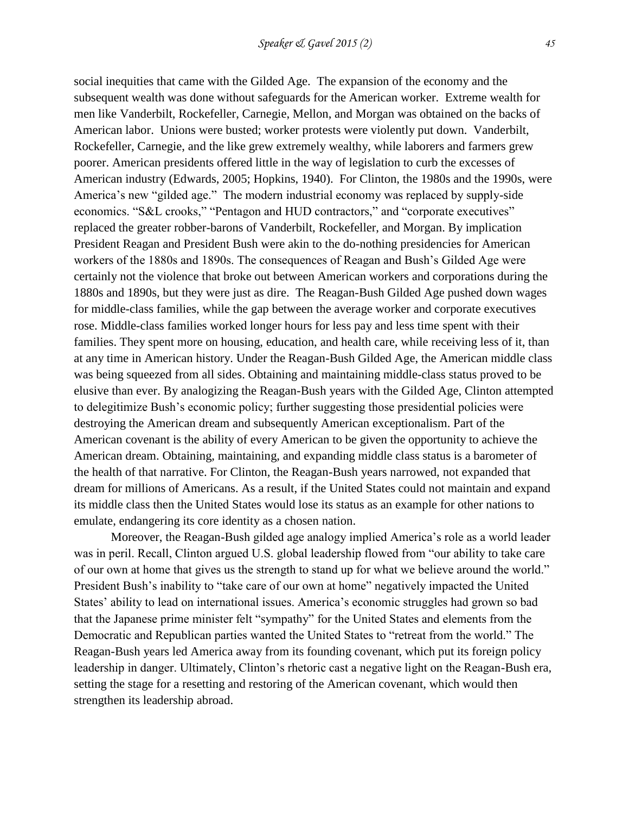social inequities that came with the Gilded Age. The expansion of the economy and the subsequent wealth was done without safeguards for the American worker. Extreme wealth for men like Vanderbilt, Rockefeller, Carnegie, Mellon, and Morgan was obtained on the backs of American labor. Unions were busted; worker protests were violently put down. Vanderbilt, Rockefeller, Carnegie, and the like grew extremely wealthy, while laborers and farmers grew poorer. American presidents offered little in the way of legislation to curb the excesses of American industry (Edwards, 2005; Hopkins, 1940). For Clinton, the 1980s and the 1990s, were America's new "gilded age." The modern industrial economy was replaced by supply-side economics. "S&L crooks," "Pentagon and HUD contractors," and "corporate executives" replaced the greater robber-barons of Vanderbilt, Rockefeller, and Morgan. By implication President Reagan and President Bush were akin to the do-nothing presidencies for American workers of the 1880s and 1890s. The consequences of Reagan and Bush's Gilded Age were certainly not the violence that broke out between American workers and corporations during the 1880s and 1890s, but they were just as dire. The Reagan-Bush Gilded Age pushed down wages for middle-class families, while the gap between the average worker and corporate executives rose. Middle-class families worked longer hours for less pay and less time spent with their families. They spent more on housing, education, and health care, while receiving less of it, than at any time in American history. Under the Reagan-Bush Gilded Age, the American middle class was being squeezed from all sides. Obtaining and maintaining middle-class status proved to be elusive than ever. By analogizing the Reagan-Bush years with the Gilded Age, Clinton attempted to delegitimize Bush's economic policy; further suggesting those presidential policies were destroying the American dream and subsequently American exceptionalism. Part of the American covenant is the ability of every American to be given the opportunity to achieve the American dream. Obtaining, maintaining, and expanding middle class status is a barometer of the health of that narrative. For Clinton, the Reagan-Bush years narrowed, not expanded that dream for millions of Americans. As a result, if the United States could not maintain and expand its middle class then the United States would lose its status as an example for other nations to emulate, endangering its core identity as a chosen nation.

Moreover, the Reagan-Bush gilded age analogy implied America's role as a world leader was in peril. Recall, Clinton argued U.S. global leadership flowed from "our ability to take care of our own at home that gives us the strength to stand up for what we believe around the world." President Bush's inability to "take care of our own at home" negatively impacted the United States' ability to lead on international issues. America's economic struggles had grown so bad that the Japanese prime minister felt "sympathy" for the United States and elements from the Democratic and Republican parties wanted the United States to "retreat from the world." The Reagan-Bush years led America away from its founding covenant, which put its foreign policy leadership in danger. Ultimately, Clinton's rhetoric cast a negative light on the Reagan-Bush era, setting the stage for a resetting and restoring of the American covenant, which would then strengthen its leadership abroad.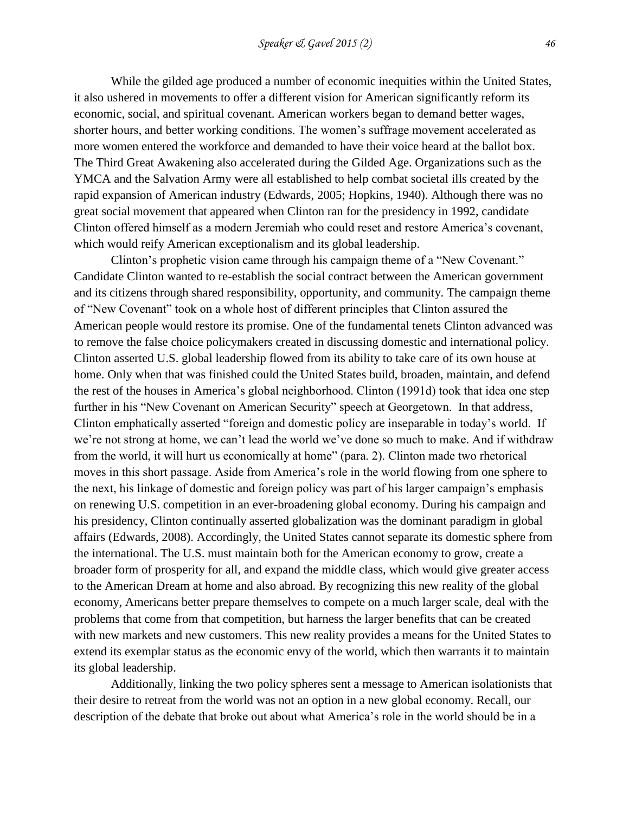While the gilded age produced a number of economic inequities within the United States, it also ushered in movements to offer a different vision for American significantly reform its economic, social, and spiritual covenant. American workers began to demand better wages, shorter hours, and better working conditions. The women's suffrage movement accelerated as more women entered the workforce and demanded to have their voice heard at the ballot box. The Third Great Awakening also accelerated during the Gilded Age. Organizations such as the YMCA and the Salvation Army were all established to help combat societal ills created by the rapid expansion of American industry (Edwards, 2005; Hopkins, 1940). Although there was no great social movement that appeared when Clinton ran for the presidency in 1992, candidate Clinton offered himself as a modern Jeremiah who could reset and restore America's covenant, which would reify American exceptionalism and its global leadership.

Clinton's prophetic vision came through his campaign theme of a "New Covenant." Candidate Clinton wanted to re-establish the social contract between the American government and its citizens through shared responsibility, opportunity, and community. The campaign theme of "New Covenant" took on a whole host of different principles that Clinton assured the American people would restore its promise. One of the fundamental tenets Clinton advanced was to remove the false choice policymakers created in discussing domestic and international policy. Clinton asserted U.S. global leadership flowed from its ability to take care of its own house at home. Only when that was finished could the United States build, broaden, maintain, and defend the rest of the houses in America's global neighborhood. Clinton (1991d) took that idea one step further in his "New Covenant on American Security" speech at Georgetown. In that address, Clinton emphatically asserted "foreign and domestic policy are inseparable in today's world. If we're not strong at home, we can't lead the world we've done so much to make. And if withdraw from the world, it will hurt us economically at home" (para. 2). Clinton made two rhetorical moves in this short passage. Aside from America's role in the world flowing from one sphere to the next, his linkage of domestic and foreign policy was part of his larger campaign's emphasis on renewing U.S. competition in an ever-broadening global economy. During his campaign and his presidency, Clinton continually asserted globalization was the dominant paradigm in global affairs (Edwards, 2008). Accordingly, the United States cannot separate its domestic sphere from the international. The U.S. must maintain both for the American economy to grow, create a broader form of prosperity for all, and expand the middle class, which would give greater access to the American Dream at home and also abroad. By recognizing this new reality of the global economy, Americans better prepare themselves to compete on a much larger scale, deal with the problems that come from that competition, but harness the larger benefits that can be created with new markets and new customers. This new reality provides a means for the United States to extend its exemplar status as the economic envy of the world, which then warrants it to maintain its global leadership.

Additionally, linking the two policy spheres sent a message to American isolationists that their desire to retreat from the world was not an option in a new global economy. Recall, our description of the debate that broke out about what America's role in the world should be in a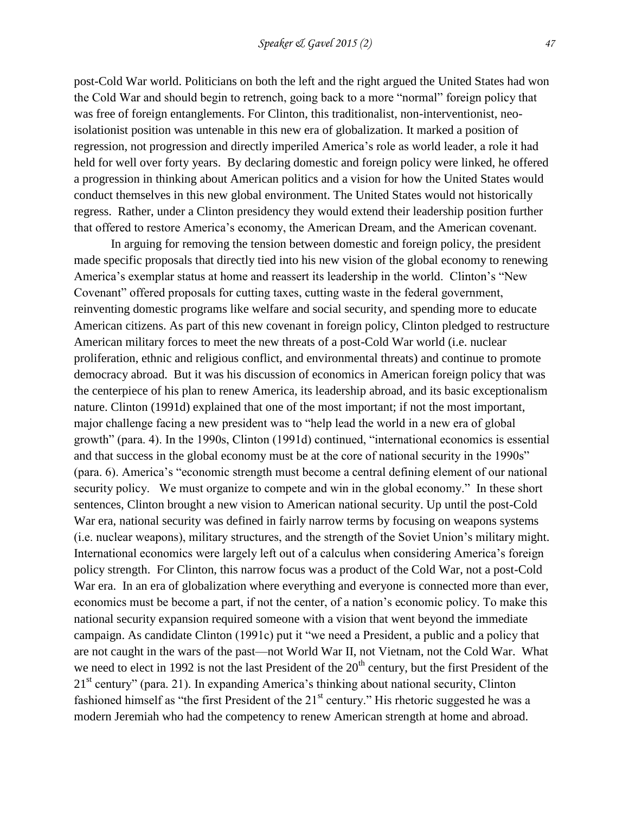post-Cold War world. Politicians on both the left and the right argued the United States had won the Cold War and should begin to retrench, going back to a more "normal" foreign policy that was free of foreign entanglements. For Clinton, this traditionalist, non-interventionist, neoisolationist position was untenable in this new era of globalization. It marked a position of regression, not progression and directly imperiled America's role as world leader, a role it had held for well over forty years. By declaring domestic and foreign policy were linked, he offered a progression in thinking about American politics and a vision for how the United States would conduct themselves in this new global environment. The United States would not historically regress. Rather, under a Clinton presidency they would extend their leadership position further that offered to restore America's economy, the American Dream, and the American covenant.

In arguing for removing the tension between domestic and foreign policy, the president made specific proposals that directly tied into his new vision of the global economy to renewing America's exemplar status at home and reassert its leadership in the world. Clinton's "New Covenant" offered proposals for cutting taxes, cutting waste in the federal government, reinventing domestic programs like welfare and social security, and spending more to educate American citizens. As part of this new covenant in foreign policy, Clinton pledged to restructure American military forces to meet the new threats of a post-Cold War world (i.e. nuclear proliferation, ethnic and religious conflict, and environmental threats) and continue to promote democracy abroad. But it was his discussion of economics in American foreign policy that was the centerpiece of his plan to renew America, its leadership abroad, and its basic exceptionalism nature. Clinton (1991d) explained that one of the most important; if not the most important, major challenge facing a new president was to "help lead the world in a new era of global growth" (para. 4). In the 1990s, Clinton (1991d) continued, "international economics is essential and that success in the global economy must be at the core of national security in the 1990s" (para. 6). America's "economic strength must become a central defining element of our national security policy. We must organize to compete and win in the global economy." In these short sentences, Clinton brought a new vision to American national security. Up until the post-Cold War era, national security was defined in fairly narrow terms by focusing on weapons systems (i.e. nuclear weapons), military structures, and the strength of the Soviet Union's military might. International economics were largely left out of a calculus when considering America's foreign policy strength. For Clinton, this narrow focus was a product of the Cold War, not a post-Cold War era. In an era of globalization where everything and everyone is connected more than ever, economics must be become a part, if not the center, of a nation's economic policy. To make this national security expansion required someone with a vision that went beyond the immediate campaign. As candidate Clinton (1991c) put it "we need a President, a public and a policy that are not caught in the wars of the past—not World War II, not Vietnam, not the Cold War. What we need to elect in 1992 is not the last President of the  $20<sup>th</sup>$  century, but the first President of the 21<sup>st</sup> century" (para. 21). In expanding America's thinking about national security, Clinton fashioned himself as "the first President of the  $21<sup>st</sup>$  century." His rhetoric suggested he was a modern Jeremiah who had the competency to renew American strength at home and abroad.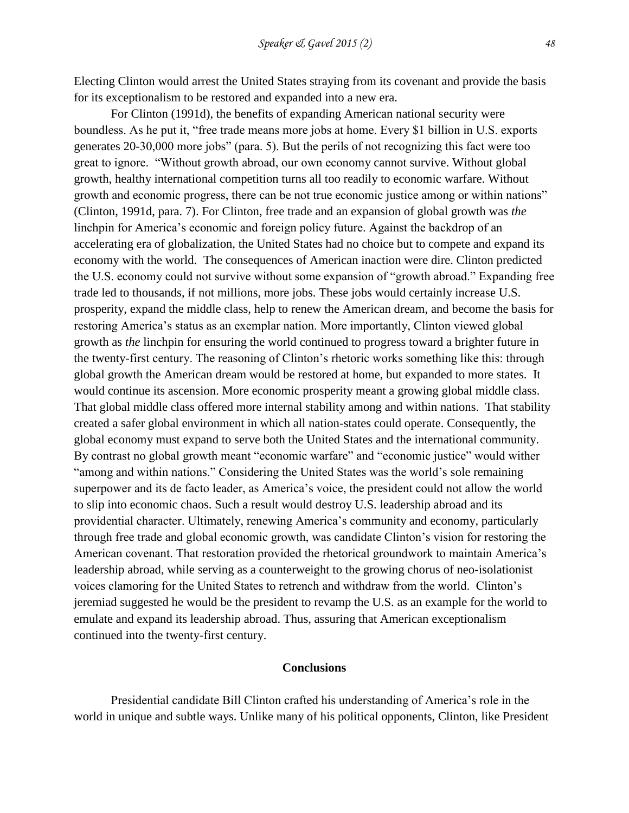Electing Clinton would arrest the United States straying from its covenant and provide the basis for its exceptionalism to be restored and expanded into a new era.

For Clinton (1991d), the benefits of expanding American national security were boundless. As he put it, "free trade means more jobs at home. Every \$1 billion in U.S. exports generates 20-30,000 more jobs" (para. 5). But the perils of not recognizing this fact were too great to ignore. "Without growth abroad, our own economy cannot survive. Without global growth, healthy international competition turns all too readily to economic warfare. Without growth and economic progress, there can be not true economic justice among or within nations" (Clinton, 1991d, para. 7). For Clinton, free trade and an expansion of global growth was *the* linchpin for America's economic and foreign policy future. Against the backdrop of an accelerating era of globalization, the United States had no choice but to compete and expand its economy with the world. The consequences of American inaction were dire. Clinton predicted the U.S. economy could not survive without some expansion of "growth abroad." Expanding free trade led to thousands, if not millions, more jobs. These jobs would certainly increase U.S. prosperity, expand the middle class, help to renew the American dream, and become the basis for restoring America's status as an exemplar nation. More importantly, Clinton viewed global growth as *the* linchpin for ensuring the world continued to progress toward a brighter future in the twenty-first century. The reasoning of Clinton's rhetoric works something like this: through global growth the American dream would be restored at home, but expanded to more states. It would continue its ascension. More economic prosperity meant a growing global middle class. That global middle class offered more internal stability among and within nations. That stability created a safer global environment in which all nation-states could operate. Consequently, the global economy must expand to serve both the United States and the international community. By contrast no global growth meant "economic warfare" and "economic justice" would wither "among and within nations." Considering the United States was the world's sole remaining superpower and its de facto leader, as America's voice, the president could not allow the world to slip into economic chaos. Such a result would destroy U.S. leadership abroad and its providential character. Ultimately, renewing America's community and economy, particularly through free trade and global economic growth, was candidate Clinton's vision for restoring the American covenant. That restoration provided the rhetorical groundwork to maintain America's leadership abroad, while serving as a counterweight to the growing chorus of neo-isolationist voices clamoring for the United States to retrench and withdraw from the world. Clinton's jeremiad suggested he would be the president to revamp the U.S. as an example for the world to emulate and expand its leadership abroad. Thus, assuring that American exceptionalism continued into the twenty-first century.

#### **Conclusions**

Presidential candidate Bill Clinton crafted his understanding of America's role in the world in unique and subtle ways. Unlike many of his political opponents, Clinton, like President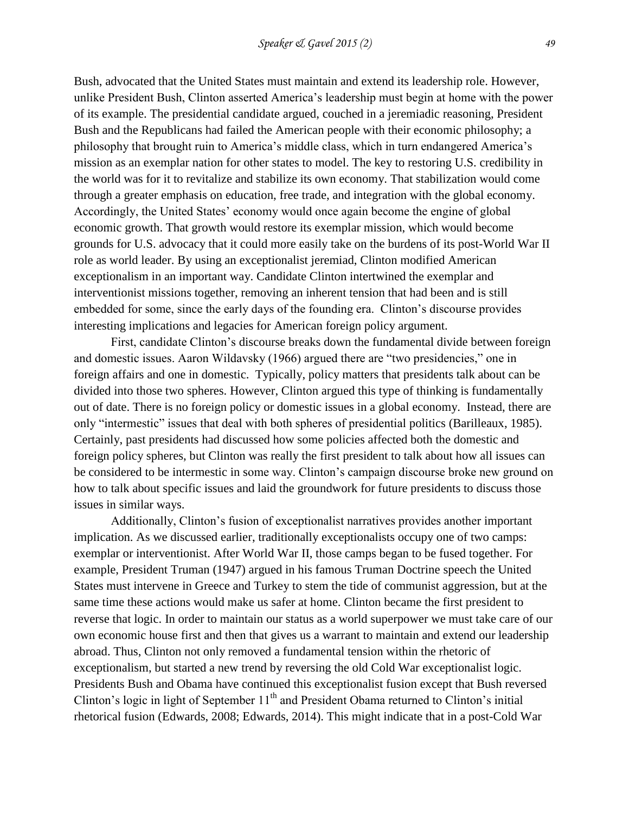Bush, advocated that the United States must maintain and extend its leadership role. However, unlike President Bush, Clinton asserted America's leadership must begin at home with the power

of its example. The presidential candidate argued, couched in a jeremiadic reasoning, President Bush and the Republicans had failed the American people with their economic philosophy; a philosophy that brought ruin to America's middle class, which in turn endangered America's mission as an exemplar nation for other states to model. The key to restoring U.S. credibility in the world was for it to revitalize and stabilize its own economy. That stabilization would come through a greater emphasis on education, free trade, and integration with the global economy. Accordingly, the United States' economy would once again become the engine of global economic growth. That growth would restore its exemplar mission, which would become grounds for U.S. advocacy that it could more easily take on the burdens of its post-World War II role as world leader. By using an exceptionalist jeremiad, Clinton modified American exceptionalism in an important way. Candidate Clinton intertwined the exemplar and interventionist missions together, removing an inherent tension that had been and is still embedded for some, since the early days of the founding era. Clinton's discourse provides interesting implications and legacies for American foreign policy argument.

First, candidate Clinton's discourse breaks down the fundamental divide between foreign and domestic issues. Aaron Wildavsky (1966) argued there are "two presidencies," one in foreign affairs and one in domestic. Typically, policy matters that presidents talk about can be divided into those two spheres. However, Clinton argued this type of thinking is fundamentally out of date. There is no foreign policy or domestic issues in a global economy. Instead, there are only "intermestic" issues that deal with both spheres of presidential politics (Barilleaux, 1985). Certainly, past presidents had discussed how some policies affected both the domestic and foreign policy spheres, but Clinton was really the first president to talk about how all issues can be considered to be intermestic in some way. Clinton's campaign discourse broke new ground on how to talk about specific issues and laid the groundwork for future presidents to discuss those issues in similar ways.

Additionally, Clinton's fusion of exceptionalist narratives provides another important implication. As we discussed earlier, traditionally exceptionalists occupy one of two camps: exemplar or interventionist. After World War II, those camps began to be fused together. For example, President Truman (1947) argued in his famous Truman Doctrine speech the United States must intervene in Greece and Turkey to stem the tide of communist aggression, but at the same time these actions would make us safer at home. Clinton became the first president to reverse that logic. In order to maintain our status as a world superpower we must take care of our own economic house first and then that gives us a warrant to maintain and extend our leadership abroad. Thus, Clinton not only removed a fundamental tension within the rhetoric of exceptionalism, but started a new trend by reversing the old Cold War exceptionalist logic. Presidents Bush and Obama have continued this exceptionalist fusion except that Bush reversed Clinton's logic in light of September  $11<sup>th</sup>$  and President Obama returned to Clinton's initial rhetorical fusion (Edwards, 2008; Edwards, 2014). This might indicate that in a post-Cold War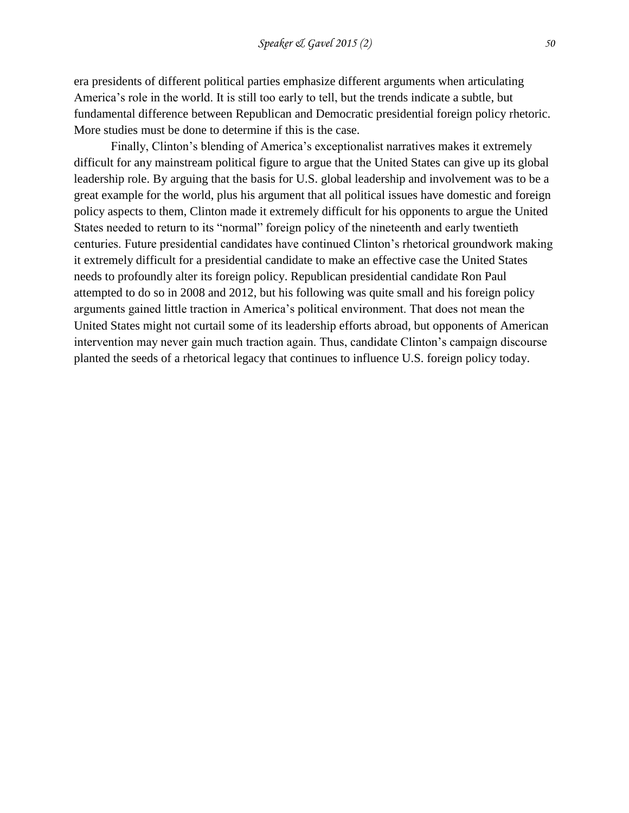era presidents of different political parties emphasize different arguments when articulating America's role in the world. It is still too early to tell, but the trends indicate a subtle, but fundamental difference between Republican and Democratic presidential foreign policy rhetoric. More studies must be done to determine if this is the case.

Finally, Clinton's blending of America's exceptionalist narratives makes it extremely difficult for any mainstream political figure to argue that the United States can give up its global leadership role. By arguing that the basis for U.S. global leadership and involvement was to be a great example for the world, plus his argument that all political issues have domestic and foreign policy aspects to them, Clinton made it extremely difficult for his opponents to argue the United States needed to return to its "normal" foreign policy of the nineteenth and early twentieth centuries. Future presidential candidates have continued Clinton's rhetorical groundwork making it extremely difficult for a presidential candidate to make an effective case the United States needs to profoundly alter its foreign policy. Republican presidential candidate Ron Paul attempted to do so in 2008 and 2012, but his following was quite small and his foreign policy arguments gained little traction in America's political environment. That does not mean the United States might not curtail some of its leadership efforts abroad, but opponents of American intervention may never gain much traction again. Thus, candidate Clinton's campaign discourse planted the seeds of a rhetorical legacy that continues to influence U.S. foreign policy today.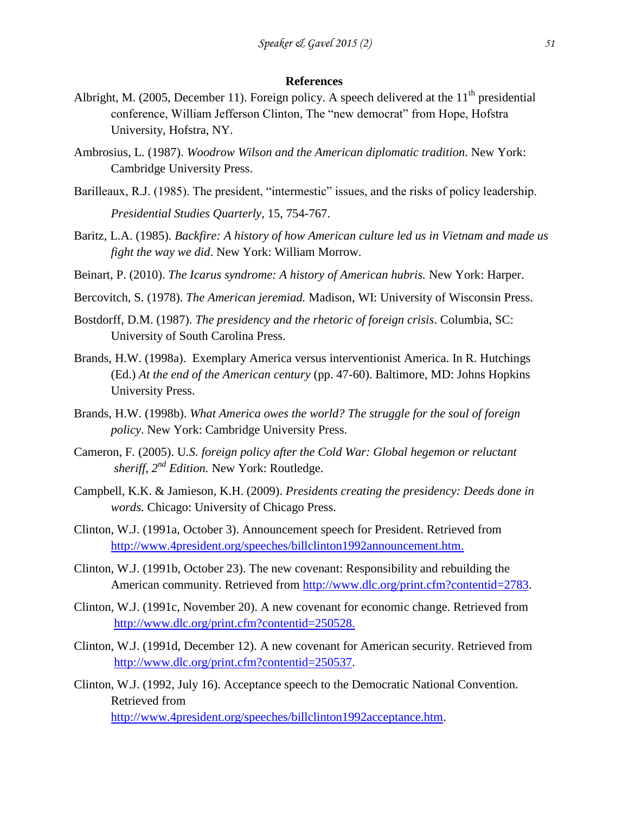### **References**

- Albright, M. (2005, December 11). Foreign policy. A speech delivered at the  $11<sup>th</sup>$  presidential conference, William Jefferson Clinton, The "new democrat" from Hope, Hofstra University, Hofstra, NY.
- Ambrosius, L. (1987). *Woodrow Wilson and the American diplomatic tradition.* New York: Cambridge University Press.
- Barilleaux, R.J. (1985). The president, "intermestic" issues, and the risks of policy leadership. *Presidential Studies Quarterly*, 15, 754-767.
- Baritz, L.A. (1985). *Backfire: A history of how American culture led us in Vietnam and made us fight the way we did*. New York: William Morrow.
- Beinart, P. (2010). *The Icarus syndrome: A history of American hubris.* New York: Harper.
- Bercovitch, S. (1978). *The American jeremiad.* Madison, WI: University of Wisconsin Press.
- Bostdorff, D.M. (1987). *The presidency and the rhetoric of foreign crisis*. Columbia, SC: University of South Carolina Press.
- Brands, H.W. (1998a). Exemplary America versus interventionist America. In R. Hutchings (Ed.) *At the end of the American century* (pp. 47-60). Baltimore, MD: Johns Hopkins University Press.
- Brands, H.W. (1998b). *What America owes the world? The struggle for the soul of foreign policy*. New York: Cambridge University Press.
- Cameron, F. (2005). U*.S. foreign policy after the Cold War: Global hegemon or reluctant sheriff, 2nd Edition.* New York: Routledge.
- Campbell, K.K. & Jamieson, K.H. (2009). *Presidents creating the presidency: Deeds done in words.* Chicago: University of Chicago Press.
- Clinton, W.J. (1991a, October 3). Announcement speech for President. Retrieved from [http://www.4president.org/speeches/billclinton1992announcement.htm.](http://www.4president.org/speeches/billclinton1992announcement.htm)
- Clinton, W.J. (1991b, October 23). The new covenant: Responsibility and rebuilding the American community. Retrieved from [http://www.dlc.org/print.cfm?contentid=2783.](http://www.dlc.org/print.cfm?contentid=2783)
- Clinton, W.J. (1991c, November 20). A new covenant for economic change. Retrieved from [http://www.dlc.org/print.cfm?contentid=250528.](http://www.dlc.org/print.cfm?contentid=250528)
- Clinton, W.J. (1991d, December 12). A new covenant for American security. Retrieved from [http://www.dlc.org/print.cfm?contentid=250537.](http://www.dlc.org/print.cfm?contentid=250537)
- Clinton, W.J. (1992, July 16). Acceptance speech to the Democratic National Convention. Retrieved from [http://www.4president.org/speeches/billclinton1992acceptance.htm.](http://www.4president.org/speeches/billclinton1992acceptance.htm)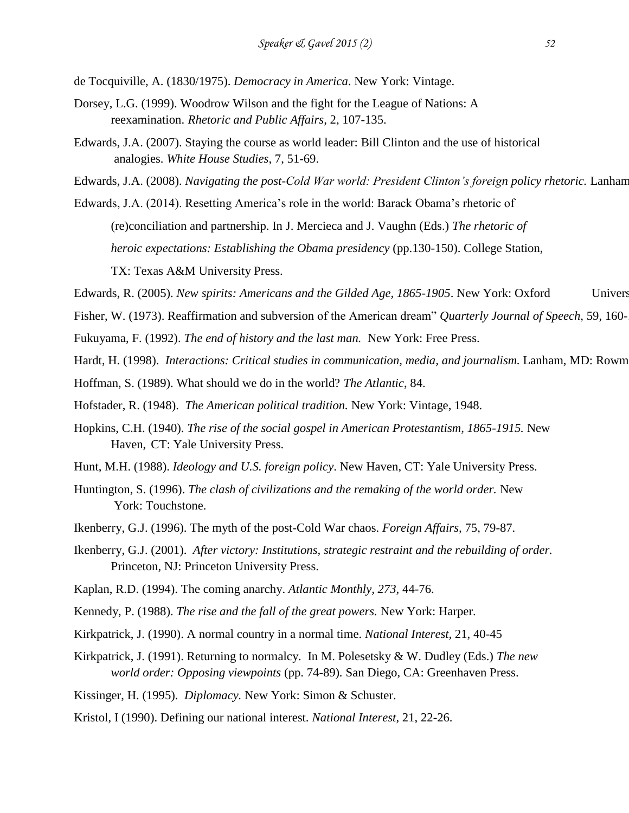de Tocquiville, A. (1830/1975). *Democracy in America*. New York: Vintage.

- Dorsey, L.G. (1999). Woodrow Wilson and the fight for the League of Nations: A reexamination. *Rhetoric and Public Affairs,* 2, 107-135.
- Edwards, J.A. (2007). Staying the course as world leader: Bill Clinton and the use of historical analogies. *White House Studies*, 7, 51-69.
- Edwards, J.A. (2008). *Navigating the post-Cold War world: President Clinton's foreign policy rhetoric*. Lanham
- Edwards, J.A. (2014). Resetting America's role in the world: Barack Obama's rhetoric of (re)conciliation and partnership. In J. Mercieca and J. Vaughn (Eds.) *The rhetoric of heroic expectations: Establishing the Obama presidency* (pp.130-150). College Station, TX: Texas A&M University Press.

Edwards, R. (2005). *New spirits: Americans and the Gilded Age, 1865-1905*. New York: Oxford Univers

- Fisher, W. (1973). Reaffirmation and subversion of the American dream" *Quarterly Journal of Speech*, 59, 160-
- Fukuyama, F. (1992). *The end of history and the last man.* New York: Free Press.
- Hardt, H. (1998). *Interactions: Critical studies in communication, media, and journalism*. Lanham, MD: Rowm
- Hoffman, S. (1989). What should we do in the world? *The Atlantic*, 84.
- Hofstader, R. (1948). *The American political tradition.* New York: Vintage, 1948.
- Hopkins, C.H. (1940). *The rise of the social gospel in American Protestantism, 1865-1915.* New Haven, CT: Yale University Press.
- Hunt, M.H. (1988). *Ideology and U.S. foreign policy*. New Haven, CT: Yale University Press.
- Huntington, S. (1996). *The clash of civilizations and the remaking of the world order.* New York: Touchstone.
- Ikenberry, G.J. (1996). The myth of the post-Cold War chaos. *Foreign Affairs,* 75, 79-87.
- Ikenberry, G.J. (2001). *After victory: Institutions, strategic restraint and the rebuilding of order.* Princeton, NJ: Princeton University Press.
- Kaplan, R.D. (1994). The coming anarchy. *Atlantic Monthly, 273,* 44-76.
- Kennedy, P. (1988). *The rise and the fall of the great powers.* New York: Harper.
- Kirkpatrick, J. (1990). A normal country in a normal time. *National Interest,* 21, 40-45
- Kirkpatrick, J. (1991). Returning to normalcy. In M. Polesetsky & W. Dudley (Eds.) *The new world order: Opposing viewpoints* (pp. 74-89)*.* San Diego, CA: Greenhaven Press.
- Kissinger, H. (1995). *Diplomacy.* New York: Simon & Schuster.
- Kristol, I (1990). Defining our national interest. *National Interest*, 21, 22-26.